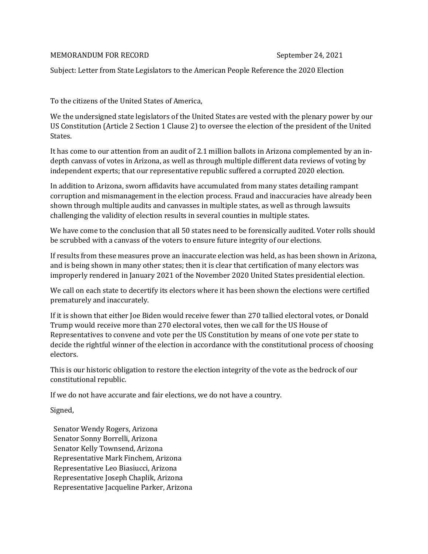## MEMORANDUM FOR RECORD September 24, 2021

Subject: Letter from State Legislators to the American People Reference the 2020 Election

To the citizens of the United States of America,

We the undersigned state legislators of the United States are vested with the plenary power by our US Constitution (Article 2 Section 1 Clause 2) to oversee the election of the president of the United States.

It has come to our attention from an audit of 2.1 million ballots in Arizona complemented by an indepth canvass of votes in Arizona, as well as through multiple different data reviews of voting by independent experts; that our representative republic suffered a corrupted 2020 election.

In addition to Arizona, sworn affidavits have accumulated from many states detailing rampant corruption and mismanagement in the election process. Fraud and inaccuracies have already been shown through multiple audits and canvasses in multiple states, as well as through lawsuits challenging the validity of election results in several counties in multiple states.

We have come to the conclusion that all 50 states need to be forensically audited. Voter rolls should be scrubbed with a canvass of the voters to ensure future integrity of our elections.

If results from these measures prove an inaccurate election was held, as has been shown in Arizona, and is being shown in many other states; then it is clear that certification of many electors was improperly rendered in January 2021 of the November 2020 United States presidential election.

We call on each state to decertify its electors where it has been shown the elections were certified prematurely and inaccurately.

If it is shown that either Joe Biden would receive fewer than 270 tallied electoral votes, or Donald Trump would receive more than 270 electoral votes, then we call for the US House of Representatives to convene and vote per the US Constitution by means of one vote per state to decide the rightful winner of the election in accordance with the constitutional process of choosing electors.

This is our historic obligation to restore the election integrity of the vote as the bedrock of our constitutional republic.

If we do not have accurate and fair elections, we do not have a country.

Signed,

Senator Wendy Rogers, Arizona Senator Sonny Borrelli, Arizona Senator Kelly Townsend, Arizona Representative Mark Finchem, Arizona Representative Leo Biasiucci, Arizona Representative Joseph Chaplik, Arizona Representative Jacqueline Parker, Arizona